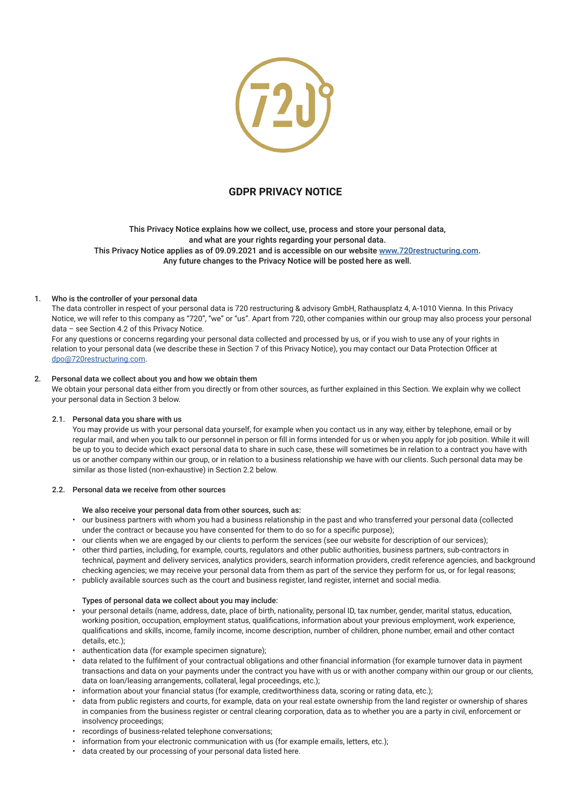

# **GDPR PRIVACY NOTICE**

This Privacy Notice explains how we collect, use, process and store your personal data, and what are your rights regarding your personal data. This Privacy Notice applies as of 09.09.2021 and is accessible on our website www.720restructuring.com. Any future changes to the Privacy Notice will be posted here as well.

## 1. Who is the controller of your personal data

The data controller in respect of your personal data is 720 restructuring & advisory GmbH, Rathausplatz 4, A-1010 Vienna. In this Privacy Notice, we will refer to this company as "720", "we" or "us". Apart from 720, other companies within our group may also process your personal data – see Section 4.2 of this Privacy Notice.

For any questions or concerns regarding your personal data collected and processed by us, or if you wish to use any of your rights in relation to your personal data (we describe these in Section 7 of this Privacy Notice), you may contact our Data Protection Officer at dpo@720restructuring.com.

## 2. Personal data we collect about you and how we obtain them

We obtain your personal data either from you directly or from other sources, as further explained in this Section. We explain why we collect your personal data in Section 3 below.

## 2.1. Personal data you share with us

You may provide us with your personal data yourself, for example when you contact us in any way, either by telephone, email or by regular mail, and when you talk to our personnel in person or fill in forms intended for us or when you apply for job position. While it will be up to you to decide which exact personal data to share in such case, these will sometimes be in relation to a contract you have with us or another company within our group, or in relation to a business relationship we have with our clients. Such personal data may be similar as those listed (non-exhaustive) in Section 2.2 below.

# 2.2. Personal data we receive from other sources

## We also receive your personal data from other sources, such as:

- our business partners with whom you had a business relationship in the past and who transferred your personal data (collected under the contract or because you have consented for them to do so for a specific purpose);
- our clients when we are engaged by our clients to perform the services (see our website for description of our services);
- other third parties, including, for example, courts, regulators and other public authorities, business partners, sub-contractors in technical, payment and delivery services, analytics providers, search information providers, credit reference agencies, and background checking agencies; we may receive your personal data from them as part of the service they perform for us, or for legal reasons;
- publicly available sources such as the court and business register, land register, internet and social media.

#### Types of personal data we collect about you may include:

- your personal details (name, address, date, place of birth, nationality, personal ID, tax number, gender, marital status, education, working position, occupation, employment status, qualifications, information about your previous employment, work experience, qualifications and skills, income, family income, income description, number of children, phone number, email and other contact details, etc.);
- authentication data (for example specimen signature);
- data related to the fulfilment of your contractual obligations and other financial information (for example turnover data in payment transactions and data on your payments under the contract you have with us or with another company within our group or our clients, data on loan/leasing arrangements, collateral, legal proceedings, etc.);
- information about your financial status (for example, creditworthiness data, scoring or rating data, etc.);
- data from public registers and courts, for example, data on your real estate ownership from the land register or ownership of shares in companies from the business register or central clearing corporation, data as to whether you are a party in civil, enforcement or insolvency proceedings;
- recordings of business-related telephone conversations;
- information from your electronic communication with us (for example emails, letters, etc.);
- data created by our processing of your personal data listed here.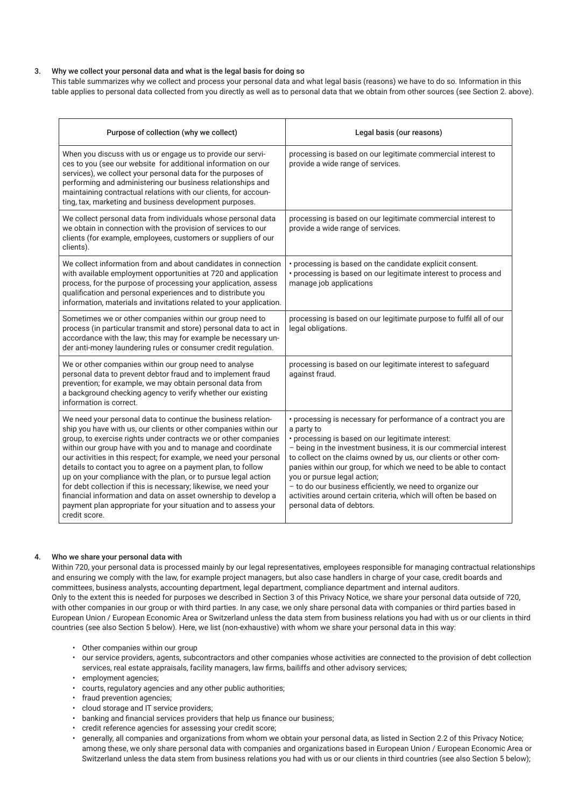# 3. Why we collect your personal data and what is the legal basis for doing so

This table summarizes why we collect and process your personal data and what legal basis (reasons) we have to do so. Information in this table applies to personal data collected from you directly as well as to personal data that we obtain from other sources (see Section 2. above).

| Purpose of collection (why we collect)                                                                                                                                                                                                                                                                                                                                                                                                                                                                                                                                                                                                                                                               | Legal basis (our reasons)                                                                                                                                                                                                                                                                                                                                                                                                                                                                                                                   |
|------------------------------------------------------------------------------------------------------------------------------------------------------------------------------------------------------------------------------------------------------------------------------------------------------------------------------------------------------------------------------------------------------------------------------------------------------------------------------------------------------------------------------------------------------------------------------------------------------------------------------------------------------------------------------------------------------|---------------------------------------------------------------------------------------------------------------------------------------------------------------------------------------------------------------------------------------------------------------------------------------------------------------------------------------------------------------------------------------------------------------------------------------------------------------------------------------------------------------------------------------------|
| When you discuss with us or engage us to provide our servi-<br>ces to you (see our website for additional information on our<br>services), we collect your personal data for the purposes of<br>performing and administering our business relationships and<br>maintaining contractual relations with our clients, for accoun-<br>ting, tax, marketing and business development purposes.                                                                                                                                                                                                                                                                                                            | processing is based on our legitimate commercial interest to<br>provide a wide range of services.                                                                                                                                                                                                                                                                                                                                                                                                                                           |
| We collect personal data from individuals whose personal data<br>we obtain in connection with the provision of services to our<br>clients (for example, employees, customers or suppliers of our<br>clients).                                                                                                                                                                                                                                                                                                                                                                                                                                                                                        | processing is based on our legitimate commercial interest to<br>provide a wide range of services.                                                                                                                                                                                                                                                                                                                                                                                                                                           |
| We collect information from and about candidates in connection<br>with available employment opportunities at 720 and application<br>process, for the purpose of processing your application, assess<br>qualification and personal experiences and to distribute you<br>information, materials and invitations related to your application.                                                                                                                                                                                                                                                                                                                                                           | • processing is based on the candidate explicit consent.<br>· processing is based on our legitimate interest to process and<br>manage job applications                                                                                                                                                                                                                                                                                                                                                                                      |
| Sometimes we or other companies within our group need to<br>process (in particular transmit and store) personal data to act in<br>accordance with the law; this may for example be necessary un-<br>der anti-money laundering rules or consumer credit regulation.                                                                                                                                                                                                                                                                                                                                                                                                                                   | processing is based on our legitimate purpose to fulfil all of our<br>legal obligations.                                                                                                                                                                                                                                                                                                                                                                                                                                                    |
| We or other companies within our group need to analyse<br>personal data to prevent debtor fraud and to implement fraud<br>prevention; for example, we may obtain personal data from<br>a background checking agency to verify whether our existing<br>information is correct.                                                                                                                                                                                                                                                                                                                                                                                                                        | processing is based on our legitimate interest to safeguard<br>against fraud.                                                                                                                                                                                                                                                                                                                                                                                                                                                               |
| We need your personal data to continue the business relation-<br>ship you have with us, our clients or other companies within our<br>group, to exercise rights under contracts we or other companies<br>within our group have with you and to manage and coordinate<br>our activities in this respect; for example, we need your personal<br>details to contact you to agree on a payment plan, to follow<br>up on your compliance with the plan, or to pursue legal action<br>for debt collection if this is necessary; likewise, we need your<br>financial information and data on asset ownership to develop a<br>payment plan appropriate for your situation and to assess your<br>credit score. | • processing is necessary for performance of a contract you are<br>a party to<br>· processing is based on our legitimate interest:<br>- being in the investment business, it is our commercial interest<br>to collect on the claims owned by us, our clients or other com-<br>panies within our group, for which we need to be able to contact<br>you or pursue legal action;<br>- to do our business efficiently, we need to organize our<br>activities around certain criteria, which will often be based on<br>personal data of debtors. |

## 4. Who we share your personal data with

Within 720, your personal data is processed mainly by our legal representatives, employees responsible for managing contractual relationships and ensuring we comply with the law, for example project managers, but also case handlers in charge of your case, credit boards and committees, business analysts, accounting department, legal department, compliance department and internal auditors. Only to the extent this is needed for purposes we described in Section 3 of this Privacy Notice, we share your personal data outside of 720, with other companies in our group or with third parties. In any case, we only share personal data with companies or third parties based in European Union / European Economic Area or Switzerland unless the data stem from business relations you had with us or our clients in third countries (see also Section 5 below). Here, we list (non-exhaustive) with whom we share your personal data in this way:

- Other companies within our group
- our service providers, agents, subcontractors and other companies whose activities are connected to the provision of debt collection services, real estate appraisals, facility managers, law firms, bailiffs and other advisory services;
- employment agencies:
- courts, regulatory agencies and any other public authorities;
- fraud prevention agencies;
- cloud storage and IT service providers;
- banking and financial services providers that help us finance our business;
- credit reference agencies for assessing your credit score;
- generally, all companies and organizations from whom we obtain your personal data, as listed in Section 2.2 of this Privacy Notice; among these, we only share personal data with companies and organizations based in European Union / European Economic Area or Switzerland unless the data stem from business relations you had with us or our clients in third countries (see also Section 5 below);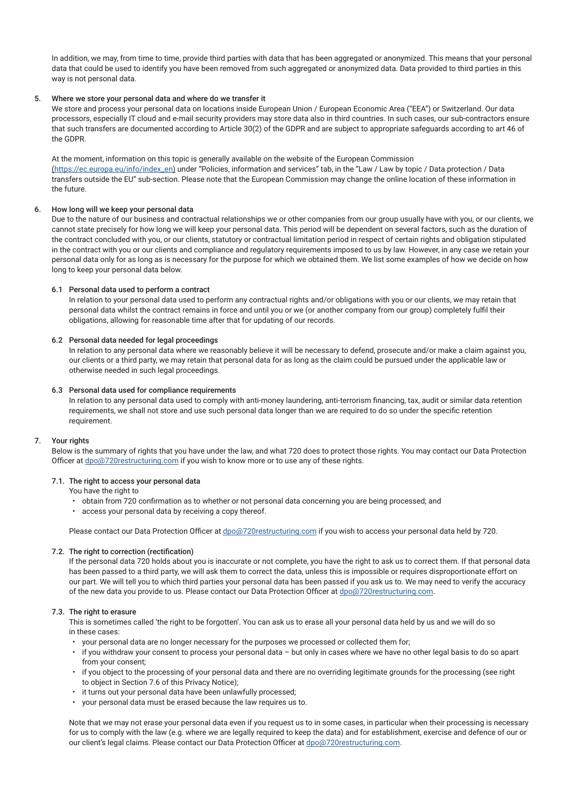In addition, we may, from time to time, provide third parties with data that has been aggregated or anonymized. This means that your personal data that could be used to identify you have been removed from such aggregated or anonymized data. Data provided to third parties in this way is not personal data.

## 5. Where we store your personal data and where do we transfer it

We store and process your personal data on locations inside European Union / European Economic Area ("EEA") or Switzerland. Our data processors, especially IT cloud and e-mail security providers may store data also in third countries. In such cases, our sub-contractors ensure that such transfers are documented according to Article 30(2) of the GDPR and are subject to appropriate safeguards according to art 46 of the GDPR.

At the moment, information on this topic is generally available on the website of the European Commission (https://ec.europa.eu/info/index\_en) under "Policies, information and services" tab, in the "Law / Law by topic / Data protection / Data transfers outside the EU" sub-section. Please note that the European Commission may change the online location of these information in the future.

## 6. How long will we keep your personal data

Due to the nature of our business and contractual relationships we or other companies from our group usually have with you, or our clients, we cannot state precisely for how long we will keep your personal data. This period will be dependent on several factors, such as the duration of the contract concluded with you, or our clients, statutory or contractual limitation period in respect of certain rights and obligation stipulated in the contract with you or our clients and compliance and regulatory requirements imposed to us by law. However, in any case we retain your personal data only for as long as is necessary for the purpose for which we obtained them. We list some examples of how we decide on how long to keep your personal data below.

## 6.1 Personal data used to perform a contract

 In relation to your personal data used to perform any contractual rights and/or obligations with you or our clients, we may retain that personal data whilst the contract remains in force and until you or we (or another company from our group) completely fulfil their obligations, allowing for reasonable time after that for updating of our records.

## 6.2 Personal data needed for legal proceedings

 In relation to any personal data where we reasonably believe it will be necessary to defend, prosecute and/or make a claim against you, our clients or a third party, we may retain that personal data for as long as the claim could be pursued under the applicable law or otherwise needed in such legal proceedings.

## 6.3 Personal data used for compliance requirements

In relation to any personal data used to comply with anti-money laundering, anti-terrorism financing, tax, audit or similar data retention requirements, we shall not store and use such personal data longer than we are required to do so under the specific retention requirement.

## 7. Your rights

Below is the summary of rights that you have under the law, and what 720 does to protect those rights. You may contact our Data Protection Officer at dpo@720restructuring.com if you wish to know more or to use any of these rights.

## 7.1. The right to access your personal data

You have the right to

- obtain from 720 confirmation as to whether or not personal data concerning you are being processed; and
- access your personal data by receiving a copy thereof.

Please contact our Data Protection Officer at dpo@720restructuring.com if you wish to access your personal data held by 720.

# 7.2. The right to correction (rectification)

 If the personal data 720 holds about you is inaccurate or not complete, you have the right to ask us to correct them. If that personal data has been passed to a third party, we will ask them to correct the data, unless this is impossible or requires disproportionate effort on our part. We will tell you to which third parties your personal data has been passed if you ask us to. We may need to verify the accuracy of the new data you provide to us. Please contact our Data Protection Officer at dpo@720restructuring.com.

# 7.3. The right to erasure

This is sometimes called 'the right to be forgotten'. You can ask us to erase all your personal data held by us and we will do so in these cases:

- your personal data are no longer necessary for the purposes we processed or collected them for;
- if you withdraw your consent to process your personal data but only in cases where we have no other legal basis to do so apart from your consent;
- if you object to the processing of your personal data and there are no overriding legitimate grounds for the processing (see right to object in Section 7.6 of this Privacy Notice);
- it turns out your personal data have been unlawfully processed;
- your personal data must be erased because the law requires us to.

 Note that we may not erase your personal data even if you request us to in some cases, in particular when their processing is necessary for us to comply with the law (e.g. where we are legally required to keep the data) and for establishment, exercise and defence of our or our client's legal claims. Please contact our Data Protection Officer at dpo@720restructuring.com.